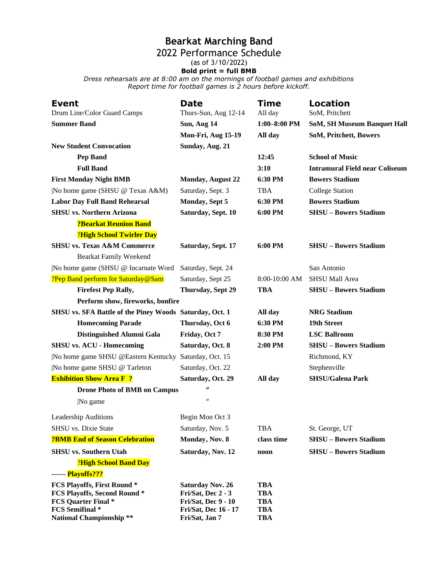## **Bearkat Marching Band**

## 2022 Performance Schedule

(as of 3/10/2022)

**Bold print = full BMB**

*Dress rehearsals are at 8:00 am on the mornings of football games and exhibitions Report time for football games is 2 hours before kickoff.*

| <b>Event</b><br>Drum Line/Color Guard Camps             | <b>Date</b><br>Thurs-Sun, Aug 12-14    | <b>Time</b><br>All day   | Location<br>SoM, Pritchett            |
|---------------------------------------------------------|----------------------------------------|--------------------------|---------------------------------------|
| <b>Summer Band</b>                                      | Sun, Aug 14                            | $1:00 - 8:00$ PM         | <b>SoM, SH Museum Banquet Hall</b>    |
|                                                         | Mon-Fri, Aug 15-19                     | All day                  | SoM, Pritchett, Bowers                |
| <b>New Student Convocation</b>                          | Sunday, Aug. 21                        |                          |                                       |
| <b>Pep Band</b>                                         |                                        | 12:45                    | <b>School of Music</b>                |
| <b>Full Band</b>                                        |                                        | 3:10                     | <b>Intramural Field near Coliseum</b> |
| <b>First Monday Night BMB</b>                           | <b>Monday, August 22</b>               | 6:30 PM                  | <b>Bowers Stadium</b>                 |
| No home game (SHSU @ Texas A&M)                         | Saturday, Sept. 3                      | <b>TBA</b>               | <b>College Station</b>                |
| <b>Labor Day Full Band Rehearsal</b>                    | Monday, Sept 5                         | 6:30 PM                  | <b>Bowers Stadium</b>                 |
| <b>SHSU</b> vs. Northern Arizona                        | Saturday, Sept. 10                     | 6:00 PM                  | <b>SHSU - Bowers Stadium</b>          |
| <b>?Bearkat Reunion Band</b>                            |                                        |                          |                                       |
| ?High School Twirler Day                                |                                        |                          |                                       |
| <b>SHSU vs. Texas A&amp;M Commerce</b>                  | Saturday, Sept. 17                     | 6:00 PM                  | <b>SHSU - Bowers Stadium</b>          |
| <b>Bearkat Family Weekend</b>                           |                                        |                          |                                       |
| No home game (SHSU @ Incarnate Word                     | Saturday, Sept. 24                     |                          | San Antonio                           |
| ?Pep Band perform for Saturday@Sam                      | Saturday, Sept 25                      | 8:00-10:00 AM            | SHSU Mall Area                        |
| <b>Firefest Pep Rally,</b>                              | Thursday, Sept 29                      | <b>TBA</b>               | <b>SHSU - Bowers Stadium</b>          |
| Perform show, fireworks, bonfire                        |                                        |                          |                                       |
| SHSU vs. SFA Battle of the Piney Woods Saturday, Oct. 1 |                                        | All day                  | <b>NRG Stadium</b>                    |
| <b>Homecoming Parade</b>                                | Thursday, Oct 6                        | 6:30 PM                  | 19th Street                           |
| Distinguished Alumni Gala                               | Friday, Oct 7                          | 8:30 PM                  | <b>LSC Ballroom</b>                   |
| <b>SHSU vs. ACU - Homecoming</b>                        | Saturday, Oct. 8                       | 2:00 PM                  | <b>SHSU - Bowers Stadium</b>          |
| No home game SHSU @Eastern Kentucky Saturday, Oct. 15   |                                        |                          | Richmond, KY                          |
| No home game SHSU @ Tarleton                            | Saturday, Oct. 22                      |                          | Stephenville                          |
| <b>Exhibition Show Area F?</b>                          | Saturday, Oct. 29                      | All day                  | <b>SHSU/Galena Park</b>               |
| <b>Drone Photo of BMB on Campus</b>                     | $\mathbf{u}$                           |                          |                                       |
| No game                                                 | $\boldsymbol{\mathcal{U}}$             |                          |                                       |
| <b>Leadership Auditions</b>                             | Begin Mon Oct 3                        |                          |                                       |
| SHSU vs. Dixie State                                    | Saturday, Nov. 5                       | <b>TBA</b>               | St. George, UT                        |
| <b>?BMB End of Season Celebration</b>                   | Monday, Nov. 8                         | class time               | <b>SHSU - Bowers Stadium</b>          |
| <b>SHSU</b> vs. Southern Utah                           | Saturday, Nov. 12                      | noon                     | <b>SHSU - Bowers Stadium</b>          |
| ?High School Band Day                                   |                                        |                          |                                       |
| ------ Playoffs???                                      |                                        |                          |                                       |
| <b>FCS Playoffs, First Round*</b>                       | <b>Saturday Nov. 26</b>                | <b>TBA</b>               |                                       |
| <b>FCS Playoffs, Second Round*</b>                      | Fri/Sat, Dec 2 - 3                     | <b>TBA</b>               |                                       |
| <b>FCS Quarter Final *</b>                              | Fri/Sat, Dec 9 - 10                    | <b>TBA</b>               |                                       |
| FCS Semifinal *<br><b>National Championship**</b>       | Fri/Sat, Dec 16 - 17<br>Fri/Sat, Jan 7 | <b>TBA</b><br><b>TBA</b> |                                       |